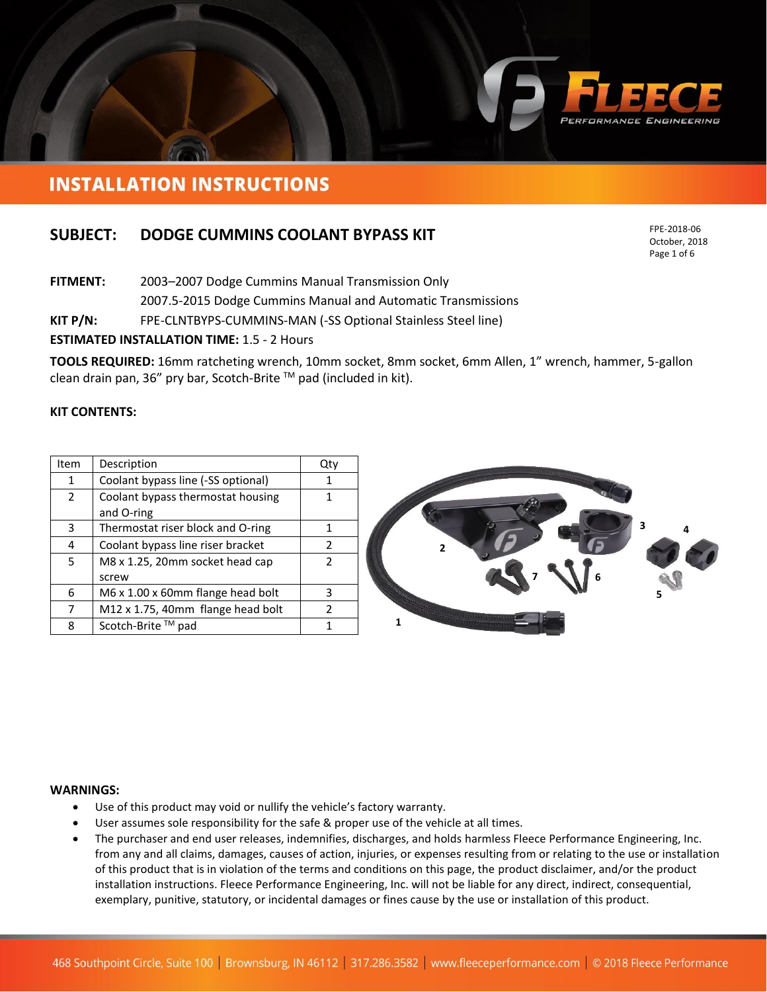

# **INSTALLATION INSTRUCTIONS**

# **SUBJECT: DODGE CUMMINS COOLANT BYPASS KIT**

FPE-2018-06 October, 2018 Page 1 of 6

**FITMENT:** 2003–2007 Dodge Cummins Manual Transmission Only 2007.5-2015 Dodge Cummins Manual and Automatic Transmissions

**KIT P/N:** FPE-CLNTBYPS-CUMMINS-MAN (-SS Optional Stainless Steel line)

## **ESTIMATED INSTALLATION TIME:** 1.5 - 2 Hours

**TOOLS REQUIRED:** 16mm ratcheting wrench, 10mm socket, 8mm socket, 6mm Allen, 1" wrench, hammer, 5-gallon clean drain pan, 36" pry bar, Scotch-Brite TM pad (included in kit).

### **KIT CONTENTS:**

| Item           | Description                        | Qty           |
|----------------|------------------------------------|---------------|
| 1              | Coolant bypass line (-SS optional) |               |
| $\overline{2}$ | Coolant bypass thermostat housing  | 1             |
|                | and O-ring                         |               |
| 3              | Thermostat riser block and O-ring  |               |
| 4              | Coolant bypass line riser bracket  | $\mathcal{L}$ |
| 5              | M8 x 1.25, 20mm socket head cap    |               |
|                | screw                              |               |
| 6              | M6 x 1.00 x 60mm flange head bolt  | 3             |
| 7              | M12 x 1.75, 40mm flange head bolt  | 2             |
| 8              | Scotch-Brite ™ pad                 |               |



#### **WARNINGS:**

- Use of this product may void or nullify the vehicle's factory warranty.
- User assumes sole responsibility for the safe & proper use of the vehicle at all times.
- The purchaser and end user releases, indemnifies, discharges, and holds harmless Fleece Performance Engineering, Inc. from any and all claims, damages, causes of action, injuries, or expenses resulting from or relating to the use or installation of this product that is in violation of the terms and conditions on this page, the product disclaimer, and/or the product installation instructions. Fleece Performance Engineering, Inc. will not be liable for any direct, indirect, consequential, exemplary, punitive, statutory, or incidental damages or fines cause by the use or installation of this product.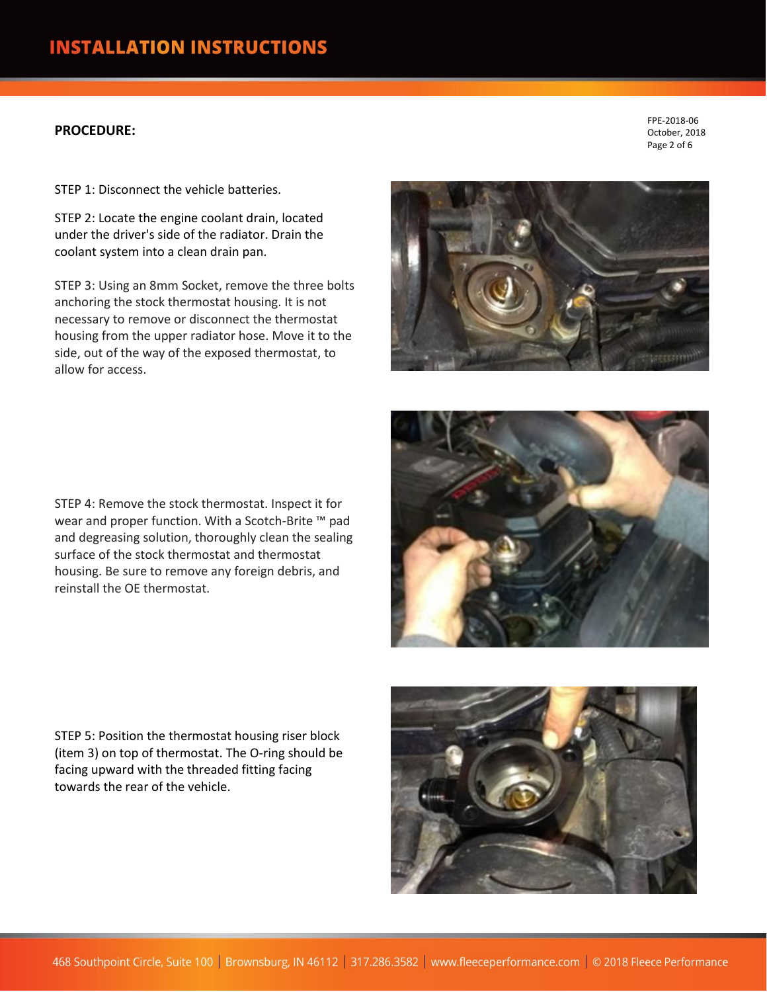# **PROCEDURE:**

STEP 1: Disconnect the vehicle batteries.

STEP 2: Locate the engine coolant drain, located under the driver's side of the radiator. Drain the coolant system into a clean drain pan.

STEP 3: Using an 8mm Socket, remove the three bolts anchoring the stock thermostat housing. It is not necessary to remove or disconnect the thermostat housing from the upper radiator hose. Move it to the side, out of the way of the exposed thermostat, to allow for access.

FPE-2018-06 October, 2018 Page 2 of 6



STEP 4: Remove the stock thermostat. Inspect it for wear and proper function. With a Scotch-Brite ™ pad and degreasing solution, thoroughly clean the sealing surface of the stock thermostat and thermostat housing. Be sure to remove any foreign debris, and reinstall the OE thermostat.

STEP 5: Position the thermostat housing riser block (item 3) on top of thermostat. The O-ring should be facing upward with the threaded fitting facing towards the rear of the vehicle.

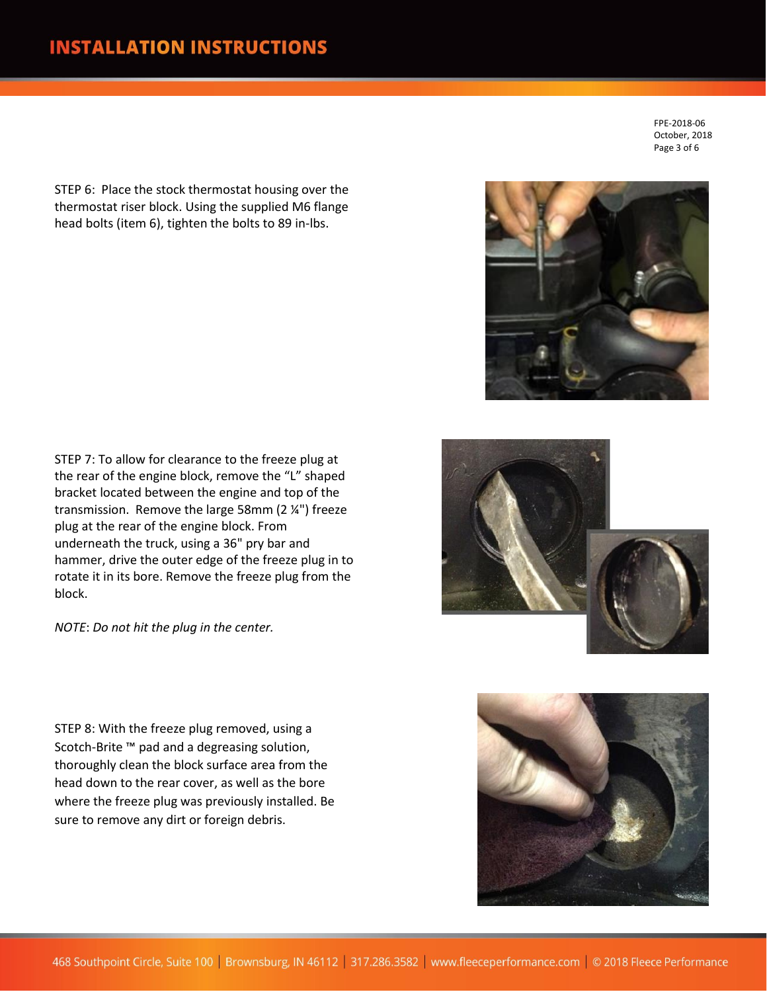STEP 6: Place the stock thermostat housing over the thermostat riser block. Using the supplied M6 flange head bolts (item 6), tighten the bolts to 89 in-lbs.

FPE-2018-06 October, 2018 Page 3 of 6

STEP 7: To allow for clearance to the freeze plug at the rear of the engine block, remove the "L" shaped bracket located between the engine and top of the transmission. Remove the large 58mm (2 ¼") freeze plug at the rear of the engine block. From underneath the truck, using a 36" pry bar and hammer, drive the outer edge of the freeze plug in to rotate it in its bore. Remove the freeze plug from the block.

*NOTE*: *Do not hit the plug in the center.*

STEP 8: With the freeze plug removed, using a Scotch-Brite ™ pad and a degreasing solution, thoroughly clean the block surface area from the head down to the rear cover, as well as the bore where the freeze plug was previously installed. Be sure to remove any dirt or foreign debris.



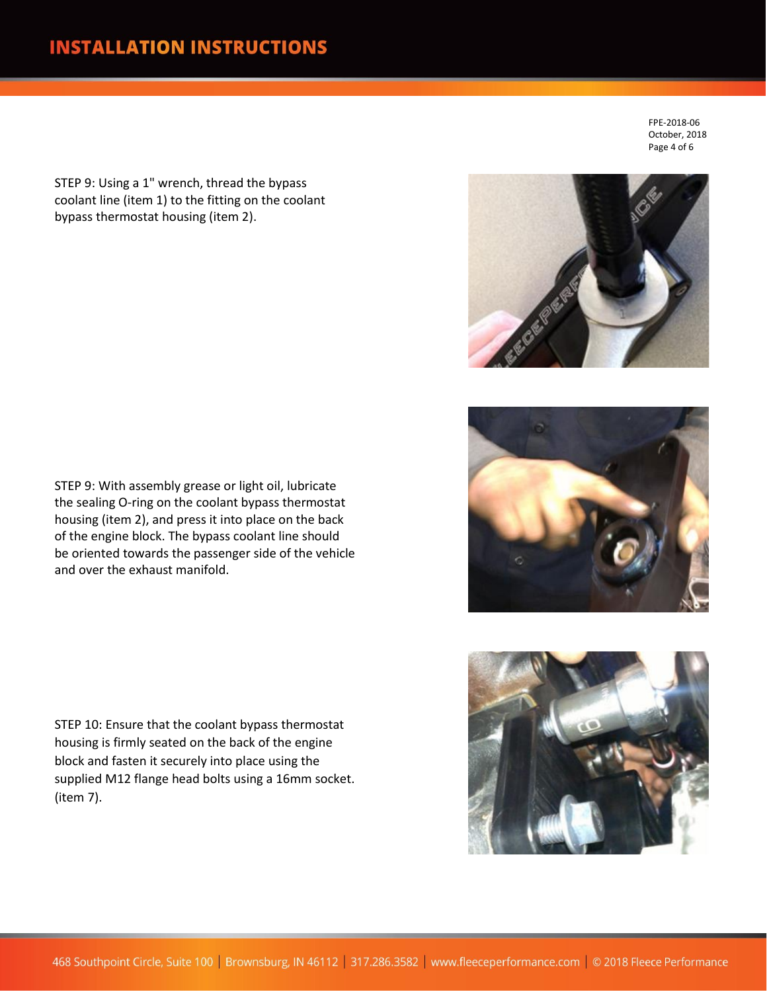# **INSTALLATION INSTRUCTIONS**

STEP 9: Using a 1" wrench, thread the bypass coolant line (item 1) to the fitting on the coolant bypass thermostat housing (item 2).

FPE-2018-06 October, 2018 Page 4 of 6







STEP 9: With assembly grease or light oil, lubricate the sealing O-ring on the coolant bypass thermostat housing (item 2), and press it into place on the back of the engine block. The bypass coolant line should be oriented towards the passenger side of the vehicle and over the exhaust manifold.

STEP 10: Ensure that the coolant bypass thermostat housing is firmly seated on the back of the engine block and fasten it securely into place using the supplied M12 flange head bolts using a 16mm socket. (item 7).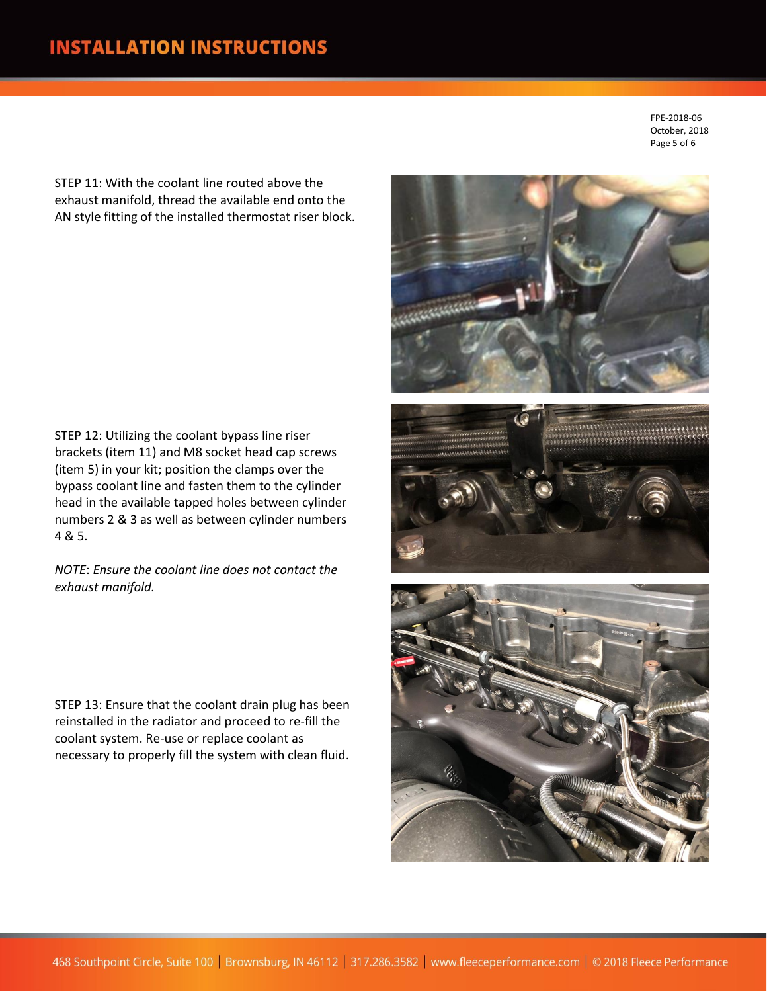FPE-2018-06 October, 2018 Page 5 of 6

STEP 11: With the coolant line routed above the exhaust manifold, thread the available end onto the AN style fitting of the installed thermostat riser block.

STEP 12: Utilizing the coolant bypass line riser brackets (item 11) and M8 socket head cap screws (item 5) in your kit; position the clamps over the bypass coolant line and fasten them to the cylinder head in the available tapped holes between cylinder numbers 2 & 3 as well as between cylinder numbers 4 & 5.

*NOTE*: *Ensure the coolant line does not contact the exhaust manifold.*

STEP 13: Ensure that the coolant drain plug has been reinstalled in the radiator and proceed to re-fill the coolant system. Re-use or replace coolant as necessary to properly fill the system with clean fluid.